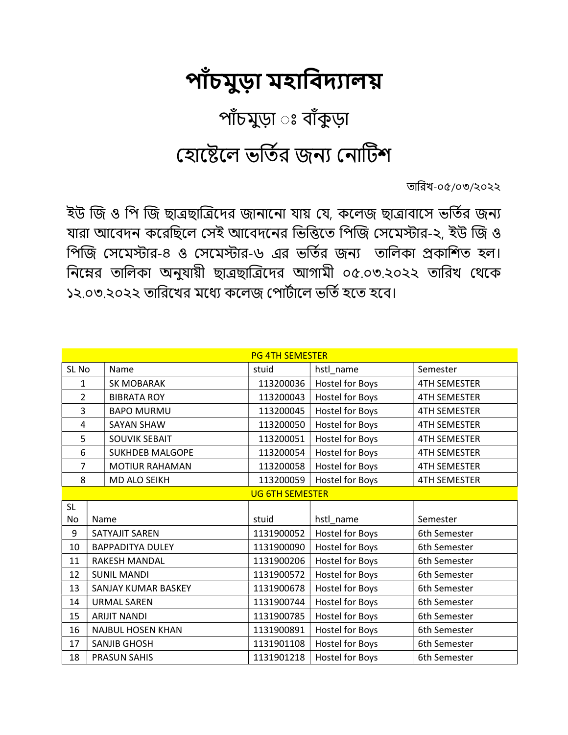## পাঁচমুড়া মহাবিদ্যালয়

## পাঁচমুড়া ঃ বাঁকুড়া

## যোষ্টেলে ভর্তির জন্য নোটিশ

তািরখ-০৫/০৩/২০২২

ইউ জি ও পি জি ছাত্রছাত্রিদের জানানাে যায় যে, কলেজ ছাত্রাবাসে ভর্তির জন্য যারা আবেদন করেছিলে সেই আবেদনের ভিত্তিতে পিজি সেমেস্টার-২, ইউ জি ও পিজি সেমেস্টার-৪ ও সেমেস্টার-৬ এর ভর্তির জন্য তালিকা প্রকাশিত হল। নিম্নের তালিকা অনুযায়ী ছাত্রছাত্রিদের আগামী ০৫.০৩.২০২২ তারিখ থেকে ১২.০৩.২০২২ তারিখের মধ্যে কলেজ পোর্টালে ভর্তি হতে হবে।

| <b>PG 4TH SEMESTER</b> |                          |                         |            |                        |                     |
|------------------------|--------------------------|-------------------------|------------|------------------------|---------------------|
| SL No                  |                          | Name                    | stuid      | hstl_name              | Semester            |
| 1                      |                          | <b>SK MOBARAK</b>       | 113200036  | <b>Hostel for Boys</b> | <b>4TH SEMESTER</b> |
| $\overline{2}$         |                          | <b>BIBRATA ROY</b>      | 113200043  | <b>Hostel for Boys</b> | <b>4TH SEMESTER</b> |
| 3                      |                          | <b>BAPO MURMU</b>       | 113200045  | Hostel for Boys        | <b>4TH SEMESTER</b> |
| 4                      |                          | <b>SAYAN SHAW</b>       | 113200050  | Hostel for Boys        | <b>4TH SEMESTER</b> |
| 5                      |                          | <b>SOUVIK SEBAIT</b>    | 113200051  | Hostel for Boys        | <b>4TH SEMESTER</b> |
| 6                      |                          | <b>SUKHDEB MALGOPE</b>  | 113200054  | <b>Hostel for Boys</b> | <b>4TH SEMESTER</b> |
| $\overline{7}$         |                          | <b>MOTIUR RAHAMAN</b>   | 113200058  | <b>Hostel for Boys</b> | <b>4TH SEMESTER</b> |
| 8                      |                          | MD ALO SEIKH            | 113200059  | Hostel for Boys        | <b>4TH SEMESTER</b> |
| <b>UG 6TH SEMESTER</b> |                          |                         |            |                        |                     |
| <b>SL</b>              |                          |                         |            |                        |                     |
| No                     | Name                     |                         | stuid      | hstl_name              | Semester            |
| 9                      |                          | <b>SATYAJIT SAREN</b>   | 1131900052 | <b>Hostel for Boys</b> | 6th Semester        |
| 10                     |                          | <b>BAPPADITYA DULEY</b> | 1131900090 | <b>Hostel for Boys</b> | 6th Semester        |
| 11                     |                          | <b>RAKESH MANDAL</b>    | 1131900206 | Hostel for Boys        | 6th Semester        |
| 12                     | <b>SUNIL MANDI</b>       |                         | 1131900572 | Hostel for Boys        | 6th Semester        |
| 13                     | SANJAY KUMAR BASKEY      |                         | 1131900678 | <b>Hostel for Boys</b> | 6th Semester        |
| 14                     | <b>URMAL SAREN</b>       |                         | 1131900744 | <b>Hostel for Boys</b> | 6th Semester        |
| 15                     | <b>ARIJIT NANDI</b>      |                         | 1131900785 | Hostel for Boys        | 6th Semester        |
| 16                     | <b>NAJBUL HOSEN KHAN</b> |                         | 1131900891 | <b>Hostel for Boys</b> | 6th Semester        |
| 17                     | <b>SANJIB GHOSH</b>      |                         | 1131901108 | <b>Hostel for Boys</b> | 6th Semester        |
| 18                     | <b>PRASUN SAHIS</b>      |                         | 1131901218 | Hostel for Boys        | 6th Semester        |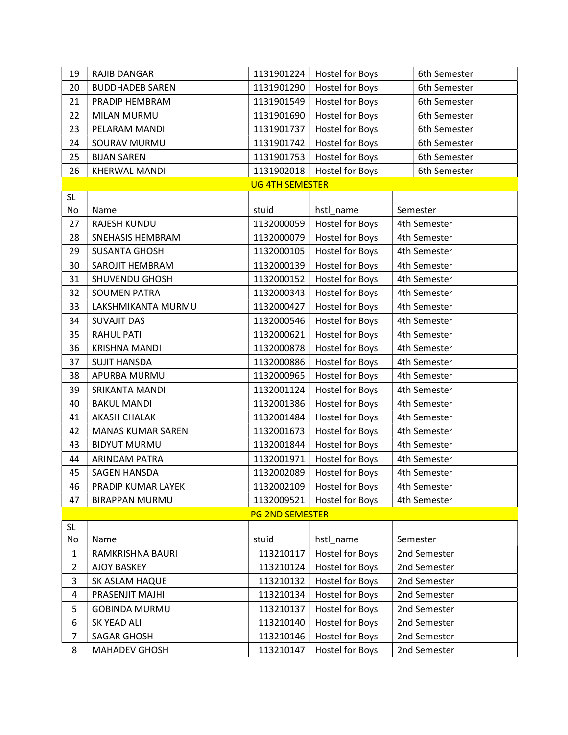| 19             | <b>RAJIB DANGAR</b>      | 1131901224             | Hostel for Boys        | 6th Semester |  |
|----------------|--------------------------|------------------------|------------------------|--------------|--|
| 20             | <b>BUDDHADEB SAREN</b>   | 1131901290             | Hostel for Boys        | 6th Semester |  |
| 21             | PRADIP HEMBRAM           | 1131901549             | <b>Hostel for Boys</b> | 6th Semester |  |
| 22             | MILAN MURMU              | 1131901690             | Hostel for Boys        | 6th Semester |  |
| 23             | PELARAM MANDI            | 1131901737             | Hostel for Boys        | 6th Semester |  |
| 24             | SOURAV MURMU             | 1131901742             | Hostel for Boys        | 6th Semester |  |
| 25             | <b>BIJAN SAREN</b>       | 1131901753             | Hostel for Boys        | 6th Semester |  |
| 26             | <b>KHERWAL MANDI</b>     | 1131902018             | Hostel for Boys        | 6th Semester |  |
|                |                          | <b>UG 4TH SEMESTER</b> |                        |              |  |
| <b>SL</b>      |                          |                        |                        |              |  |
| No             | Name                     | stuid                  | hstl_name              | Semester     |  |
| 27             | <b>RAJESH KUNDU</b>      | 1132000059             | <b>Hostel for Boys</b> | 4th Semester |  |
| 28             | SNEHASIS HEMBRAM         | 1132000079             | Hostel for Boys        | 4th Semester |  |
| 29             | <b>SUSANTA GHOSH</b>     | 1132000105             | <b>Hostel for Boys</b> | 4th Semester |  |
| 30             | SAROJIT HEMBRAM          | 1132000139             | Hostel for Boys        | 4th Semester |  |
| 31             | SHUVENDU GHOSH           | 1132000152             | <b>Hostel for Boys</b> | 4th Semester |  |
| 32             | <b>SOUMEN PATRA</b>      | 1132000343             | Hostel for Boys        | 4th Semester |  |
| 33             | LAKSHMIKANTA MURMU       | 1132000427             | Hostel for Boys        | 4th Semester |  |
| 34             | <b>SUVAJIT DAS</b>       | 1132000546             | <b>Hostel for Boys</b> | 4th Semester |  |
| 35             | <b>RAHUL PATI</b>        | 1132000621             | Hostel for Boys        | 4th Semester |  |
| 36             | <b>KRISHNA MANDI</b>     | 1132000878             | Hostel for Boys        | 4th Semester |  |
| 37             | <b>SUJIT HANSDA</b>      | 1132000886             | Hostel for Boys        | 4th Semester |  |
| 38             | APURBA MURMU             | 1132000965             | <b>Hostel for Boys</b> | 4th Semester |  |
| 39             | SRIKANTA MANDI           | 1132001124             | <b>Hostel for Boys</b> | 4th Semester |  |
| 40             | <b>BAKUL MANDI</b>       | 1132001386             | Hostel for Boys        | 4th Semester |  |
| 41             | <b>AKASH CHALAK</b>      | 1132001484             | Hostel for Boys        | 4th Semester |  |
| 42             | <b>MANAS KUMAR SAREN</b> | 1132001673             | Hostel for Boys        | 4th Semester |  |
| 43             | <b>BIDYUT MURMU</b>      | 1132001844             | Hostel for Boys        | 4th Semester |  |
| 44             | ARINDAM PATRA            | 1132001971             | <b>Hostel for Boys</b> | 4th Semester |  |
| 45             | <b>SAGEN HANSDA</b>      | 1132002089             | Hostel for Boys        | 4th Semester |  |
| 46             | PRADIP KUMAR LAYEK       | 1132002109             | Hostel for Boys        | 4th Semester |  |
| 47             | <b>BIRAPPAN MURMU</b>    | 1132009521             | Hostel for Boys        | 4th Semester |  |
|                | <b>PG 2ND SEMESTER</b>   |                        |                        |              |  |
| <b>SL</b>      |                          |                        |                        |              |  |
| No             | Name                     | stuid                  | hstl_name              | Semester     |  |
| $\mathbf{1}$   | RAMKRISHNA BAURI         | 113210117              | Hostel for Boys        | 2nd Semester |  |
| $\overline{2}$ | <b>AJOY BASKEY</b>       | 113210124              | Hostel for Boys        | 2nd Semester |  |
| 3              | SK ASLAM HAQUE           | 113210132              | Hostel for Boys        | 2nd Semester |  |
| 4              | PRASENJIT MAJHI          | 113210134              | Hostel for Boys        | 2nd Semester |  |
| 5              | <b>GOBINDA MURMU</b>     | 113210137              | Hostel for Boys        | 2nd Semester |  |
| 6              | SK YEAD ALI              | 113210140              | Hostel for Boys        | 2nd Semester |  |
| $\overline{7}$ | <b>SAGAR GHOSH</b>       | 113210146              | Hostel for Boys        | 2nd Semester |  |
| 8              | MAHADEV GHOSH            | 113210147              | Hostel for Boys        | 2nd Semester |  |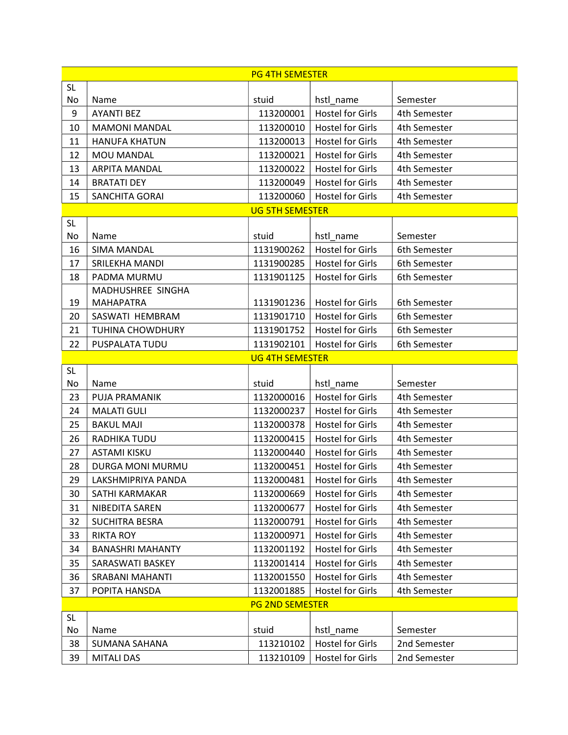| <b>PG 4TH SEMESTER</b> |                         |                          |                                                    |                          |
|------------------------|-------------------------|--------------------------|----------------------------------------------------|--------------------------|
| <b>SL</b>              |                         |                          |                                                    |                          |
| No                     | Name                    | stuid                    | hstl_name                                          | Semester                 |
| 9                      | <b>AYANTI BEZ</b>       | 113200001                | <b>Hostel for Girls</b>                            | 4th Semester             |
| 10                     | <b>MAMONI MANDAL</b>    | 113200010                | <b>Hostel for Girls</b>                            | 4th Semester             |
| 11                     | <b>HANUFA KHATUN</b>    | 113200013                | <b>Hostel for Girls</b>                            | 4th Semester             |
| 12                     | MOU MANDAL              | 113200021                | <b>Hostel for Girls</b>                            | 4th Semester             |
| 13                     | <b>ARPITA MANDAL</b>    | 113200022                | <b>Hostel for Girls</b>                            | 4th Semester             |
| 14                     | <b>BRATATI DEY</b>      | 113200049                | <b>Hostel for Girls</b>                            | 4th Semester             |
| 15                     | <b>SANCHITA GORAI</b>   | 113200060                | <b>Hostel for Girls</b>                            | 4th Semester             |
|                        |                         | <b>UG 5TH SEMESTER</b>   |                                                    |                          |
| <b>SL</b>              |                         |                          |                                                    |                          |
| No                     | Name                    | stuid                    | hstl_name                                          | Semester                 |
| 16                     | <b>SIMA MANDAL</b>      | 1131900262               | <b>Hostel for Girls</b>                            | 6th Semester             |
| 17                     | SRILEKHA MANDI          | 1131900285               | <b>Hostel for Girls</b>                            | 6th Semester             |
| 18                     | PADMA MURMU             | 1131901125               | <b>Hostel for Girls</b>                            | 6th Semester             |
|                        | MADHUSHREE SINGHA       |                          |                                                    |                          |
| 19                     | MAHAPATRA               | 1131901236               | <b>Hostel for Girls</b>                            | 6th Semester             |
| 20                     | SASWATI HEMBRAM         | 1131901710               | <b>Hostel for Girls</b>                            | 6th Semester             |
| 21                     | <b>TUHINA CHOWDHURY</b> | 1131901752               | <b>Hostel for Girls</b>                            | 6th Semester             |
| 22                     | PUSPALATA TUDU          | 1131902101               | <b>Hostel for Girls</b>                            | 6th Semester             |
|                        |                         | <b>UG 4TH SEMESTER</b>   |                                                    |                          |
| <b>SL</b><br>No        |                         | stuid                    |                                                    |                          |
|                        | Name                    |                          | hstl_name                                          | Semester                 |
| 23                     | PUJA PRAMANIK           | 1132000016               | <b>Hostel for Girls</b>                            | 4th Semester             |
| 24                     | <b>MALATI GULI</b>      | 1132000237<br>1132000378 | <b>Hostel for Girls</b><br><b>Hostel for Girls</b> | 4th Semester             |
| 25                     | <b>BAKUL MAJI</b>       |                          |                                                    | 4th Semester             |
| 26                     | RADHIKA TUDU            | 1132000415               | <b>Hostel for Girls</b><br><b>Hostel for Girls</b> | 4th Semester             |
| 27                     | <b>ASTAMI KISKU</b>     | 1132000440               |                                                    | 4th Semester             |
| 28                     | DURGA MONI MURMU        | 1132000451               | <b>Hostel for Girls</b>                            | 4th Semester             |
| 29                     | LAKSHMIPRIYA PANDA      | 1132000481               | <b>Hostel for Girls</b>                            | 4th Semester             |
| 30                     | SATHI KARMAKAR          | 1132000669               | <b>Hostel for Girls</b>                            | 4th Semester             |
| 31                     | NIBEDITA SAREN          | 1132000677               | <b>Hostel for Girls</b>                            | 4th Semester             |
| 32                     | <b>SUCHITRA BESRA</b>   | 1132000791               | <b>Hostel for Girls</b>                            | 4th Semester             |
| 33                     | <b>RIKTA ROY</b>        | 1132000971               | <b>Hostel for Girls</b>                            | 4th Semester             |
| 34                     | <b>BANASHRI MAHANTY</b> | 1132001192               | <b>Hostel for Girls</b>                            | 4th Semester             |
| 35                     | SARASWATI BASKEY        | 1132001414               | <b>Hostel for Girls</b>                            | 4th Semester             |
| 36                     | <b>SRABANI MAHANTI</b>  | 1132001550               | <b>Hostel for Girls</b>                            | 4th Semester             |
| 37                     | POPITA HANSDA           | 1132001885               | <b>Hostel for Girls</b>                            | 4th Semester             |
|                        |                         | <b>PG 2ND SEMESTER</b>   |                                                    |                          |
| <b>SL</b>              |                         | stuid                    |                                                    |                          |
| No<br>38               | Name<br>SUMANA SAHANA   | 113210102                | hstl_name<br><b>Hostel for Girls</b>               | Semester<br>2nd Semester |
|                        |                         |                          |                                                    |                          |
| 39                     | <b>MITALI DAS</b>       | 113210109                | <b>Hostel for Girls</b>                            | 2nd Semester             |